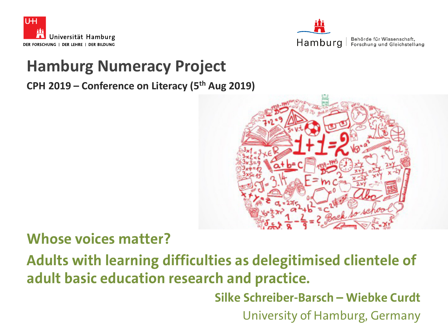



### **Hamburg Numeracy Project**

**CPH 2019 – Conference on Literacy (5th Aug 2019)**



#### **Whose voices matter?**

**Adults with learning difficulties as delegitimised clientele of adult basic education research and practice.** 

**Silke Schreiber-Barsch – Wiebke Curdt**

University of Hamburg, Germany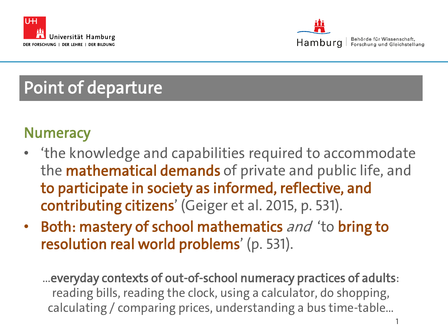



## Point of departure

### **Numeracy**

- 'the knowledge and capabilities required to accommodate the **mathematical demands** of private and public life, and to participate in society as informed, reflective, and contributing citizens' (Geiger et al. 2015, p. 531).
- **Both: mastery of school mathematics** and 'to **bring to** resolution real world problems' (p. 531).

…everyday contexts of out-of-school numeracy practices of adults: reading bills, reading the clock, using a calculator, do shopping, calculating / comparing prices, understanding a bus time-table…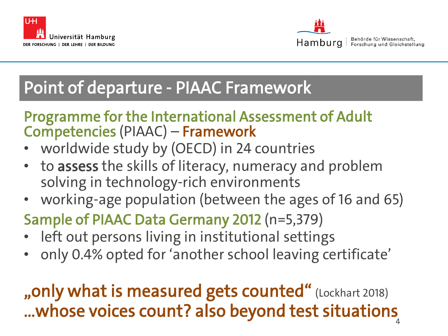



Behörde für Wissenschaft. Forschung und Gleichstellung

## Point of departure - PIAAC Framework

#### Programme for the International Assessment of Adult Competencies (PIAAC) – Framework

- worldwide study by (OECD) in 24 countries
- to assess the skills of literacy, numeracy and problem solving in technology-rich environments
- working-age population (between the ages of 16 and 65)
- Sample of PIAAC Data Germany 2012 (n=5,379)
- left out persons living in institutional settings
- only 0.4% opted for 'another school leaving certificate'

#### $v = v - v - v - v - v - 4$ "only what is measured gets counted" (Lockhart 2018) …whose voices count? also beyond test situations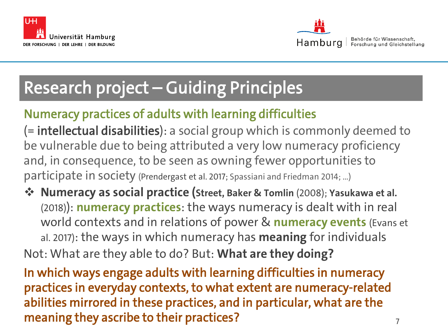



Behörde für Wissenschaft. Forschung und Gleichstellung

# Research project – Guiding Principles

#### Numeracy practices of adults with learning difficulties

(= intellectual disabilities): a social group which is commonly deemed to be vulnerable due to being attributed a very low numeracy proficiency and, in consequence, to be seen as owning fewer opportunities to participate in society (Prendergast et al. 2017; Spassiani and Friedman 2014; …)

 **Numeracy as social practice (Street, Baker & Tomlin** (2008); **Yasukawa et al.**  (2018)): **numeracy practices**: the ways numeracy is dealt with in real world contexts and in relations of power & **numeracy events** (Evans et al. 2017): the ways in which numeracy has **meaning** for individuals Not: What are they able to do? But: **What are they doing?**

 $\overline{e}$ s for  $\overline{e}$  7 In which ways engage adults with learning difficulties in numeracy practices in everyday contexts, to what extent are numeracy-related abilities mirrored in these practices, and in particular, what are the meaning they ascribe to their practices?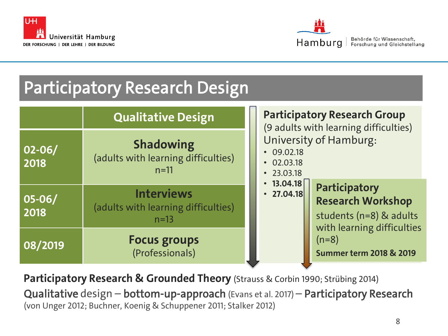



Behörde für Wissenschaft, Forschung und Gleichstellung

## Participatory Research Design

|                    | <b>Qualitative Design</b>                                          | <b>Participatory Research Group</b><br>(9 adults with learning difficulties)                                     |  |  |
|--------------------|--------------------------------------------------------------------|------------------------------------------------------------------------------------------------------------------|--|--|
| $02 - 06/$<br>2018 | <b>Shadowing</b><br>(adults with learning difficulties)<br>$n=11$  | <b>University of Hamburg:</b><br>$\cdot$ 09.02.18<br>$\cdot$ 02.03.18<br>$\cdot$ 23.03.18                        |  |  |
| $05 - 06/$<br>2018 | <b>Interviews</b><br>(adults with learning difficulties)<br>$n=13$ | $\cdot$ 13.04.18<br>Participatory<br>$\cdot$ 27.04.18<br><b>Research Workshop</b><br>students ( $n=8$ ) & adults |  |  |
| 08/2019            | <b>Focus groups</b><br>(Professionals)                             | with learning difficulties<br>$(n=8)$<br><b>Summer term 2018 &amp; 2019</b>                                      |  |  |

**Participatory Research & Grounded Theory** (Strauss & Corbin 1990; Strübing 2014)

Qualitative design – bottom-up-approach (Evans et al. 2017) – Participatory Research (von Unger 2012; Buchner, Koenig & Schuppener 2011; Stalker 2012)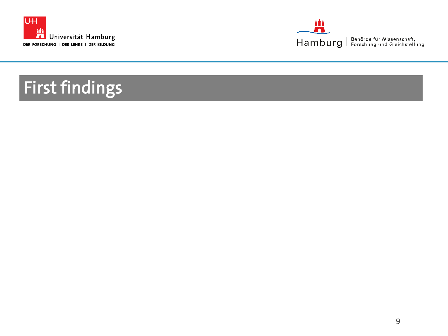



# First findings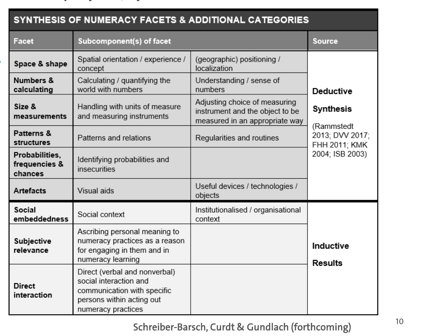| SYNTHESIS OF NUMERACY FACETS & ADDITIONAL CATEGORIES |                                                                                                                                           |                                                                                                    |                                                |  |
|------------------------------------------------------|-------------------------------------------------------------------------------------------------------------------------------------------|----------------------------------------------------------------------------------------------------|------------------------------------------------|--|
| Facet                                                | Subcomponent(s) of facet                                                                                                                  |                                                                                                    | <b>Source</b>                                  |  |
| Space & shape                                        | Spatial orientation / experience /<br>concept                                                                                             | (geographic) positioning /<br>localization                                                         |                                                |  |
| Numbers &<br>calculating                             | Calculating / quantifying the<br>world with numbers                                                                                       | Understanding / sense of<br>numbers                                                                | <b>Deductive</b>                               |  |
| Size &<br>measurements                               | Handling with units of measure<br>and measuring instruments                                                                               | Adjusting choice of measuring<br>instrument and the object to be<br>measured in an appropriate way | <b>Synthesis</b>                               |  |
| Patterns &<br>structures                             | Patterns and relations                                                                                                                    | Regularities and routines                                                                          | (Rammstedt<br>2013; DVV 2017;<br>FHH 2011; KMK |  |
| Probabilities,<br>frequencies &<br>chances           | Identifying probabilities and<br>insecurities                                                                                             |                                                                                                    | 2004; ISB 2003)                                |  |
| <b>Artefacts</b>                                     | Visual aids                                                                                                                               | Useful devices / technologies /<br>objects                                                         |                                                |  |
| Social<br>embeddedness                               | Social context                                                                                                                            | Institutionalised / organisational<br>context                                                      |                                                |  |
| Subjective<br>relevance                              | Ascribing personal meaning to<br>numeracy practices as a reason<br>for engaging in them and in<br>numeracy learning                       |                                                                                                    | Inductive<br><b>Results</b>                    |  |
| <b>Direct</b><br>interaction                         | Direct (verbal and nonverbal)<br>social interaction and<br>communication with specific<br>persons within acting out<br>numeracy practices |                                                                                                    |                                                |  |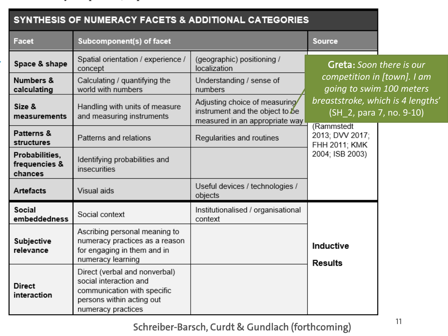| SYNTHESIS OF NUMERACY FACETS & ADDITIONAL CATEGORIES |                                                                                                                                           |                                                                                                    |                                                                                                                                                             |  |
|------------------------------------------------------|-------------------------------------------------------------------------------------------------------------------------------------------|----------------------------------------------------------------------------------------------------|-------------------------------------------------------------------------------------------------------------------------------------------------------------|--|
| Facet                                                | Subcomponent(s) of facet                                                                                                                  |                                                                                                    | <b>Source</b>                                                                                                                                               |  |
| Space & shape                                        | Spatial orientation / experience /<br>concept                                                                                             | (geographic) positioning /<br>localization                                                         | <b>Greta:</b> Soon there is our<br>competition in [town]. I am<br>going to swim 100 meters<br>breaststroke, which is 4 lengths'<br>(SH 2, para 7, no. 9-10) |  |
| Numbers &<br>calculating                             | Calculating / quantifying the<br>world with numbers                                                                                       | Understanding / sense of<br>numbers                                                                |                                                                                                                                                             |  |
| Size &<br>measurements                               | Handling with units of measure<br>and measuring instruments                                                                               | Adjusting choice of measuring<br>instrument and the object to be<br>measured in an appropriate way |                                                                                                                                                             |  |
| Patterns &<br>structures                             | Patterns and relations                                                                                                                    | Regularities and routines                                                                          | (Rammstedt<br>2013; DVV 2017;<br>FHH 2011; KMK<br>2004; ISB 2003)                                                                                           |  |
| Probabilities,<br>frequencies &<br>chances           | Identifying probabilities and<br>insecurities                                                                                             |                                                                                                    |                                                                                                                                                             |  |
| <b>Artefacts</b>                                     | Visual aids                                                                                                                               | Useful devices / technologies /<br>objects                                                         |                                                                                                                                                             |  |
| Social<br>embeddedness                               | Social context                                                                                                                            | Institutionalised / organisational<br>context                                                      |                                                                                                                                                             |  |
| Subjective<br>relevance                              | Ascribing personal meaning to<br>numeracy practices as a reason<br>for engaging in them and in<br>numeracy learning                       |                                                                                                    | Inductive<br><b>Results</b>                                                                                                                                 |  |
| <b>Direct</b><br>interaction                         | Direct (verbal and nonverbal)<br>social interaction and<br>communication with specific<br>persons within acting out<br>numeracy practices |                                                                                                    |                                                                                                                                                             |  |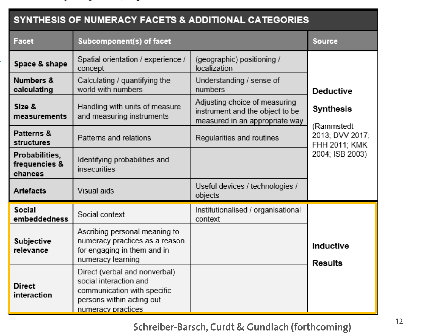| SYNTHESIS OF NUMERACY FACETS & ADDITIONAL CATEGORIES |                                                                                                                                           |                                                                                                    |                                                                   |  |
|------------------------------------------------------|-------------------------------------------------------------------------------------------------------------------------------------------|----------------------------------------------------------------------------------------------------|-------------------------------------------------------------------|--|
| Facet                                                | Subcomponent(s) of facet                                                                                                                  |                                                                                                    | <b>Source</b>                                                     |  |
| Space & shape                                        | Spatial orientation / experience /<br>concept                                                                                             | (geographic) positioning /<br>localization                                                         |                                                                   |  |
| Numbers &<br>calculating                             | Calculating / quantifying the<br>world with numbers                                                                                       | Understanding / sense of<br>numbers                                                                | <b>Deductive</b>                                                  |  |
| Size &<br>measurements                               | Handling with units of measure<br>and measuring instruments                                                                               | Adjusting choice of measuring<br>instrument and the object to be<br>measured in an appropriate way | Synthesis                                                         |  |
| Patterns &<br>structures                             | Patterns and relations                                                                                                                    | Regularities and routines                                                                          | (Rammstedt<br>2013; DVV 2017;<br>FHH 2011; KMK<br>2004; ISB 2003) |  |
| Probabilities,<br>frequencies &<br>chances           | Identifying probabilities and<br>insecurities                                                                                             |                                                                                                    |                                                                   |  |
| <b>Artefacts</b>                                     | Visual aids                                                                                                                               | Useful devices / technologies /<br>objects                                                         |                                                                   |  |
| Social<br>embeddedness                               | Social context                                                                                                                            | Institutionalised / organisational<br>context                                                      |                                                                   |  |
| Subjective<br>relevance                              | Ascribing personal meaning to<br>numeracy practices as a reason<br>for engaging in them and in<br>numeracy learning                       |                                                                                                    | Inductive<br><b>Results</b>                                       |  |
| <b>Direct</b><br>interaction                         | Direct (verbal and nonverbal)<br>social interaction and<br>communication with specific<br>persons within acting out<br>numeracy practices |                                                                                                    |                                                                   |  |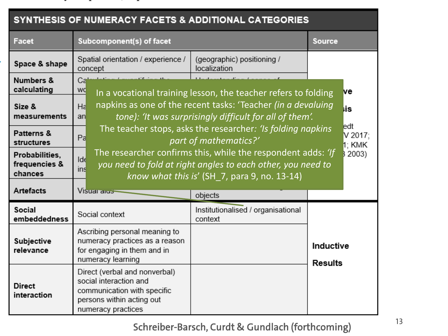| SYNTHESIS OF NUMERACY FACETS & ADDITIONAL CATEGORIES |                                                                                                                                           |                                                                                                                                                                                                                                                                        |                             |  |
|------------------------------------------------------|-------------------------------------------------------------------------------------------------------------------------------------------|------------------------------------------------------------------------------------------------------------------------------------------------------------------------------------------------------------------------------------------------------------------------|-----------------------------|--|
| Facet                                                | Subcomponent(s) of facet                                                                                                                  |                                                                                                                                                                                                                                                                        | <b>Source</b>               |  |
| Space & shape                                        | Spatial orientation / experience /<br>concept                                                                                             | (geographic) positioning /<br>localization                                                                                                                                                                                                                             |                             |  |
| Numbers &<br>calculating                             | Ca<br>wq                                                                                                                                  | In a vocational training lesson, the teacher refers to folding                                                                                                                                                                                                         | ve                          |  |
| Size &<br>measurements                               | Ha<br>an                                                                                                                                  | napkins as one of the recent tasks: 'Teacher (in a devaluing<br>tone): 'It was surprisingly difficult for all of them'.                                                                                                                                                |                             |  |
| Patterns &<br>structures                             | Pa                                                                                                                                        | The teacher stops, asks the researcher: 'Is folding napkins'<br>part of mathematics?'<br>The researcher confirms this, while the respondent adds: 'If<br>you need to fold at right angles to each other, you need to<br>know what this is' $(SH_7,$ para 9, no. 13-14) |                             |  |
| Probabilities,<br>frequencies &<br>chances           | Ide<br>ins                                                                                                                                |                                                                                                                                                                                                                                                                        |                             |  |
| <b>Artefacts</b>                                     | Visuar ar <del>us-</del>                                                                                                                  | objects                                                                                                                                                                                                                                                                |                             |  |
| Social<br>embeddedness                               | Social context                                                                                                                            | Institutionalised / organisational<br>context                                                                                                                                                                                                                          |                             |  |
| Subjective<br>relevance                              | Ascribing personal meaning to<br>numeracy practices as a reason<br>for engaging in them and in<br>numeracy learning                       |                                                                                                                                                                                                                                                                        | Inductive<br><b>Results</b> |  |
| <b>Direct</b><br>interaction                         | Direct (verbal and nonverbal)<br>social interaction and<br>communication with specific<br>persons within acting out<br>numeracy practices |                                                                                                                                                                                                                                                                        |                             |  |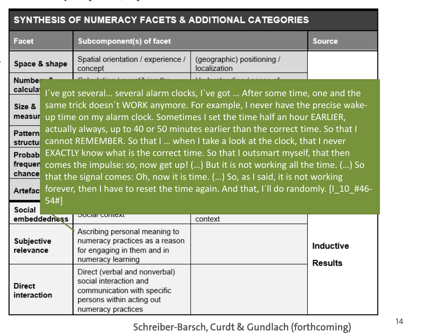| SYNTHESIS OF NUMERACY FACETS & ADDITIONAL CATEGORIES                                                                                                                                                                                                                                                                                                                                                                                                                                                                                                                                                                                                                                                                                                                                                                                                                            |                                                                                                                                           |                                            |                             |
|---------------------------------------------------------------------------------------------------------------------------------------------------------------------------------------------------------------------------------------------------------------------------------------------------------------------------------------------------------------------------------------------------------------------------------------------------------------------------------------------------------------------------------------------------------------------------------------------------------------------------------------------------------------------------------------------------------------------------------------------------------------------------------------------------------------------------------------------------------------------------------|-------------------------------------------------------------------------------------------------------------------------------------------|--------------------------------------------|-----------------------------|
| Facet                                                                                                                                                                                                                                                                                                                                                                                                                                                                                                                                                                                                                                                                                                                                                                                                                                                                           | Subcomponent(s) of facet                                                                                                                  |                                            | <b>Source</b>               |
| Space & shape                                                                                                                                                                                                                                                                                                                                                                                                                                                                                                                                                                                                                                                                                                                                                                                                                                                                   | Spatial orientation / experience /<br>concept                                                                                             | (geographic) positioning /<br>localization |                             |
| Number<br>calcula<br>I've got several several alarm clocks, I've got  After some time, one and the<br>same trick doesn't WORK anymore. For example, I never have the precise wake-<br>Size &<br>measur up time on my alarm clock. Sometimes I set the time half an hour EARLIER,<br>actually always, up to 40 or 50 minutes earlier than the correct time. So that I<br>Pattern<br>cannot REMEMBER. So that I  when I take a look at the clock, that I never<br>structu<br>EXACTLY know what is the correct time. So that I outsmart myself, that then<br>Probab<br>frequer<br>comes the impulse: so, now get up! () But it is not working all the time. () So<br>chance<br>that the signal comes: Oh, now it is time. () So, as I said, it is not working<br>forever, then I have to reset the time again. And that, I'll do randomly. [1 10 #46-<br>Artefac<br>54#1<br>Social |                                                                                                                                           |                                            |                             |
| embeddedness                                                                                                                                                                                                                                                                                                                                                                                                                                                                                                                                                                                                                                                                                                                                                                                                                                                                    | Ascribing personal meaning to                                                                                                             | context                                    |                             |
| Subjective<br>relevance                                                                                                                                                                                                                                                                                                                                                                                                                                                                                                                                                                                                                                                                                                                                                                                                                                                         | numeracy practices as a reason<br>for engaging in them and in<br>numeracy learning                                                        |                                            | Inductive<br><b>Results</b> |
| <b>Direct</b><br>interaction                                                                                                                                                                                                                                                                                                                                                                                                                                                                                                                                                                                                                                                                                                                                                                                                                                                    | Direct (verbal and nonverbal)<br>social interaction and<br>communication with specific<br>persons within acting out<br>numeracy practices |                                            |                             |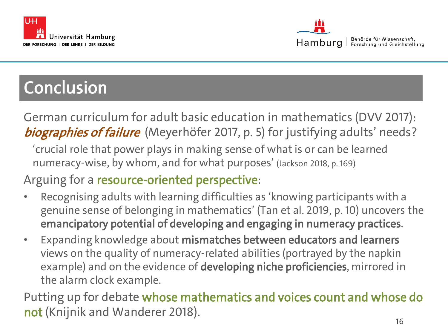



## **Conclusion**

German curriculum for adult basic education in mathematics (DVV 2017): biographies of failure (Meyerhöfer 2017, p. 5) for justifying adults' needs?

'crucial role that power plays in making sense of what is or can be learned numeracy-wise, by whom, and for what purposes' (Jackson 2018, p. 169)

Arguing for a resource-oriented perspective:

- Recognising adults with learning difficulties as 'knowing participants with a genuine sense of belonging in mathematics' (Tan et al. 2019, p. 10) uncovers the emancipatory potential of developing and engaging in numeracy practices.
- Expanding knowledge about mismatches between educators and learners views on the quality of numeracy-related abilities (portrayed by the napkin example) and on the evidence of developing niche proficiencies, mirrored in the alarm clock example.

 $\sim$  16 Putting up for debate whose mathematics and voices count and whose do not (Knijnik and Wanderer 2018).